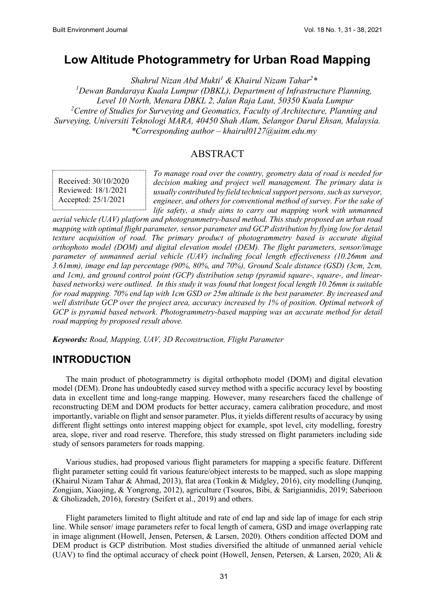# **Low Altitude Photogrammetry for Urban Road Mapping**

*Shahrul Nizan Abd Mukti<sup>1</sup> & Khairul Nizam Tahar2 \* 1 Dewan Bandaraya Kuala Lumpur (DBKL), Department of Infrastructure Planning, Level 10 North, Menara DBKL 2, Jalan Raja Laut, 50350 Kuala Lumpur 2 Centre of Studies for Surveying and Geomatics, Faculty of Architecture, Planning and Surveying, Universiti Teknologi MARA, 40450 Shah Alam, Selangor Darul Ehsan, Malaysia. \*Corresponding author – khairul0127@uitm.edu.my*

#### ABSTRACT

Received: 30/10/2020 Reviewed: 18/1/2021 Accepted: 25/1/2021

*To manage road over the country, geometry data of road is needed for decision making and project well management. The primary data is usually contributed by field technical support persons, such as surveyor, engineer, and others for conventional method of survey. For the sake of life safety, a study aims to carry out mapping work with unmanned* 

*aerial vehicle (UAV) platform and photogrammetry-based method. This study proposed an urban road mapping with optimal flight parameter, sensor parameter and GCP distribution by flying low for detail texture acquisition of road. The primary product of photogrammetry based is accurate digital orthophoto model (DOM) and digital elevation model (DEM). The flight parameters, sensor/image parameter of unmanned aerial vehicle (UAV) including focal length effectiveness (10.26mm and 3.61mm), image end lap percentage (90%, 80%, and 70%), Ground Scale distance (GSD) (3cm, 2cm, and 1cm), and ground control point (GCP) distribution setup (pyramid square-, square-, and linearbased networks) were outlined. In this study it was found that longest focal length 10.26mm is suitable for road mapping. 70% end lap with 1cm GSD or 25m altitude is the best parameter. By increased and well distribute GCP over the project area, accuracy increased by 1% of position. Optimal network of GCP is pyramid based network. Photogrammetry-based mapping was an accurate method for detail road mapping by proposed result above.*

*Keywords: Road, Mapping, UAV, 3D Reconstruction, Flight Parameter*

# **INTRODUCTION**

The main product of photogrammetry is digital orthophoto model (DOM) and digital elevation model (DEM). Drone has undoubtedly eased survey method with a specific accuracy level by boosting data in excellent time and long-range mapping. However, many researchers faced the challenge of reconstructing DEM and DOM products for better accuracy, camera calibration procedure, and most importantly, variable on flight and sensor parameter. Plus, it yields different results of accuracy by using different flight settings onto interest mapping object for example, spot level, city modelling, forestry area, slope, river and road reserve. Therefore, this study stressed on flight parameters including side study of sensors parameters for roads mapping.

Various studies, had proposed various flight parameters for mapping a specific feature. Different flight parameter setting could fit various feature/object interests to be mapped, such as slope mapping (Khairul Nizam Tahar & Ahmad, 2013), flat area (Tonkin & Midgley, 2016), city modelling (Junqing, Zongjian, Xiaojing, & Yongrong, 2012), agriculture (Tsouros, Bibi, & Sarigiannidis, 2019; Saberioon & Gholizadeh, 2016), forestry (Seifert et al., 2019) and others.

Flight parameters limited to flight altitude and rate of end lap and side lap of image for each strip line. While sensor/ image parameters refer to focal length of camera, GSD and image overlapping rate in image alignment (Howell, Jensen, Petersen, & Larsen, 2020). Others condition affected DOM and DEM product is GCP distribution. Most studies diversified the altitude of unmanned aerial vehicle (UAV) to find the optimal accuracy of check point (Howell, Jensen, Petersen, & Larsen, 2020; Ali &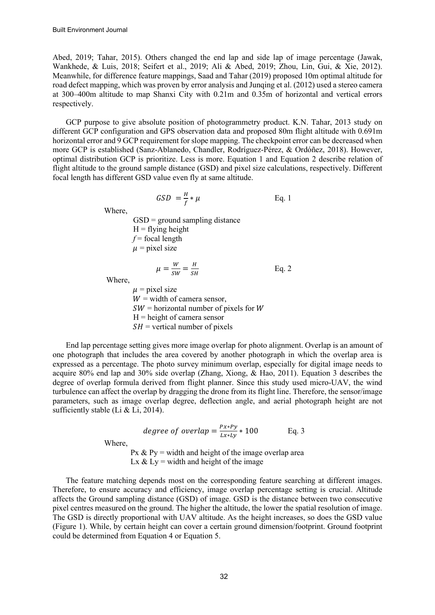Abed, 2019; Tahar, 2015). Others changed the end lap and side lap of image percentage (Jawak, Wankhede, & Luis, 2018; Seifert et al., 2019; Ali & Abed, 2019; Zhou, Lin, Gui, & Xie, 2012). Meanwhile, for difference feature mappings, Saad and Tahar (2019) proposed 10m optimal altitude for road defect mapping, which was proven by error analysis and Junqing et al. (2012) used a stereo camera at 300–400m altitude to map Shanxi City with 0.21m and 0.35m of horizontal and vertical errors respectively.

GCP purpose to give absolute position of photogrammetry product. K.N. Tahar, 2013 study on different GCP configuration and GPS observation data and proposed 80m flight altitude with 0.691m horizontal error and 9 GCP requirement for slope mapping. The checkpoint error can be decreased when more GCP is established (Sanz-Ablanedo, Chandler, Rodríguez-Pérez, & Ordóñez, 2018). However, optimal distribution GCP is prioritize. Less is more. Equation 1 and Equation 2 describe relation of flight altitude to the ground sample distance (GSD) and pixel size calculations, respectively. Different focal length has different GSD value even fly at same altitude.

$$
GSD = \frac{H}{f} * \mu
$$
 Eq. 1

Where,

 $GSD =$  ground sampling distance  $H =$  flying height  $f$  = focal length  $\mu$  = pixel size

$$
\mu = \frac{W}{SW} = \frac{H}{SH} \qquad \qquad \text{Eq. 2}
$$

Where,

 $\mu$  = pixel size  $W =$  width of camera sensor,  $SW =$  horizontal number of pixels for W  $H =$  height of camera sensor  $SH$  = vertical number of pixels

End lap percentage setting gives more image overlap for photo alignment. Overlap is an amount of one photograph that includes the area covered by another photograph in which the overlap area is expressed as a percentage. The photo survey minimum overlap, especially for digital image needs to acquire 80% end lap and 30% side overlap (Zhang, Xiong, & Hao, 2011). Equation 3 describes the degree of overlap formula derived from flight planner. Since this study used micro-UAV, the wind turbulence can affect the overlap by dragging the drone from its flight line. Therefore, the sensor/image parameters, such as image overlap degree, deflection angle, and aerial photograph height are not sufficiently stable (Li & Li, 2014).

degree of overlap = 
$$
\frac{P x * Py}{L x * L y} * 100
$$
 Eq. 3

Where,

Px  $&$  Py = width and height of the image overlap area Lx  $&$  Ly = width and height of the image

The feature matching depends most on the corresponding feature searching at different images. Therefore, to ensure accuracy and efficiency, image overlap percentage setting is crucial. Altitude affects the Ground sampling distance (GSD) of image. GSD is the distance between two consecutive pixel centres measured on the ground. The higher the altitude, the lower the spatial resolution of image. The GSD is directly proportional with UAV altitude. As the height increases, so does the GSD value (Figure 1). While, by certain height can cover a certain ground dimension/footprint. Ground footprint could be determined from Equation 4 or Equation 5.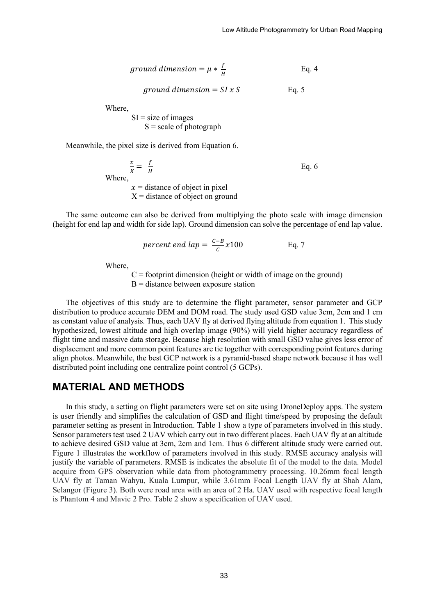$$
ground\ dimension = \mu * \frac{f}{H}
$$
 Eq. 4

$$
ground\ dimension = SI \times S
$$
 Eq. 5

Where,

 $SI = size of images$  $S = scale of photographic$ 

Meanwhile, the pixel size is derived from Equation 6.

 $\frac{x}{X} = \frac{f}{H}$  $\frac{V}{H}$  Eq. 6 Where,  $x =$  distance of object in pixel  $X =$  distance of object on ground

The same outcome can also be derived from multiplying the photo scale with image dimension (height for end lap and width for side lap). Ground dimension can solve the percentage of end lap value.

*cent end lap* =  $\frac{c - B}{c} x 100$  Eq. 7

Where,

 $C =$  footprint dimension (height or width of image on the ground)  $B =$  distance between exposure station

The objectives of this study are to determine the flight parameter, sensor parameter and GCP distribution to produce accurate DEM and DOM road. The study used GSD value 3cm, 2cm and 1 cm as constant value of analysis. Thus, each UAV fly at derived flying altitude from equation 1. This study hypothesized, lowest altitude and high overlap image (90%) will yield higher accuracy regardless of flight time and massive data storage. Because high resolution with small GSD value gives less error of displacement and more common point features are tie together with corresponding point features during align photos. Meanwhile, the best GCP network is a pyramid-based shape network because it has well distributed point including one centralize point control (5 GCPs).

#### **MATERIAL AND METHODS**

In this study, a setting on flight parameters were set on site using DroneDeploy apps. The system is user friendly and simplifies the calculation of GSD and flight time/speed by proposing the default parameter setting as present in Introduction. Table 1 show a type of parameters involved in this study. Sensor parameters test used 2 UAV which carry out in two different places. Each UAV fly at an altitude to achieve desired GSD value at 3cm, 2cm and 1cm. Thus 6 different altitude study were carried out. Figure 1 illustrates the workflow of parameters involved in this study. RMSE accuracy analysis will justify the variable of parameters. RMSE is indicates the absolute fit of the model to the data. Model acquire from GPS observation while data from photogrammetry processing. 10.26mm focal length UAV fly at Taman Wahyu, Kuala Lumpur, while 3.61mm Focal Length UAV fly at Shah Alam, Selangor (Figure 3). Both were road area with an area of 2 Ha. UAV used with respective focal length is Phantom 4 and Mavic 2 Pro. Table 2 show a specification of UAV used.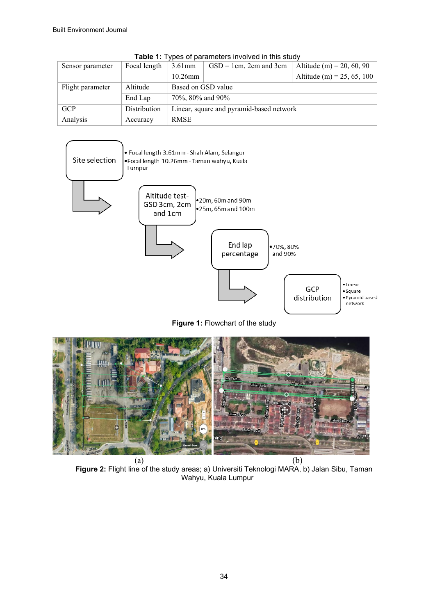| Sensor parameter | Focal length | $3.61$ mm                                | $GSD = 1cm$ , 2cm and 3cm | Altitude (m) = 20, 60, 90  |  |
|------------------|--------------|------------------------------------------|---------------------------|----------------------------|--|
|                  |              | $10.26$ mm                               |                           | Altitude (m) = 25, 65, 100 |  |
| Flight parameter | Altitude     | Based on GSD value                       |                           |                            |  |
|                  | End Lap      | 70%, 80% and 90%                         |                           |                            |  |
| GCP              | Distribution | Linear, square and pyramid-based network |                           |                            |  |
| Analysis         | Accuracy     | <b>RMSE</b>                              |                           |                            |  |

**Table 1:** Types of parameters involved in this study



**Figure 1:** Flowchart of the study



**Figure 2:** Flight line of the study areas; a) Universiti Teknologi MARA, b) Jalan Sibu, Taman Wahyu, Kuala Lumpur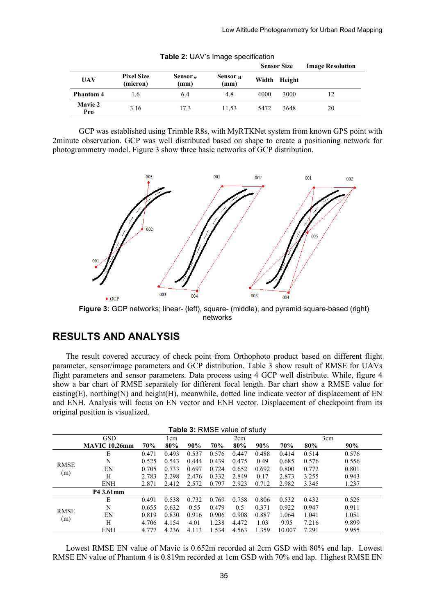|                       |                               |                    |                  |       | <b>Sensor Size</b> | <b>Image Resolution</b> |
|-----------------------|-------------------------------|--------------------|------------------|-------|--------------------|-------------------------|
| UAV                   | <b>Pixel Size</b><br>(micron) | Sensor $w$<br>(mm) | Sensor H<br>(mm) | Width | Height             |                         |
| <b>Phantom 4</b>      | 1.6                           | 6.4                | 4.8              | 4000  | 3000               |                         |
| <b>Mavic 2</b><br>Pro | 3.16                          | 17.3               | 11.53            | 5472  | 3648               | 20                      |

**Table 2:** UAV's Image specification

GCP was established using Trimble R8s, with MyRTKNet system from known GPS point with 2minute observation. GCP was well distributed based on shape to create a positioning network for photogrammetry model. Figure 3 show three basic networks of GCP distribution.



**Figure 3:** GCP networks; linear- (left), square- (middle), and pyramid square-based (right) networks

# **RESULTS AND ANALYSIS**

The result covered accuracy of check point from Orthophoto product based on different flight parameter, sensor/image parameters and GCP distribution. Table 3 show result of RMSE for UAVs flight parameters and sensor parameters. Data process using 4 GCP well distribute. While, figure 4 show a bar chart of RMSE separately for different focal length. Bar chart show a RMSE value for easting(E), northing(N) and height(H), meanwhile, dotted line indicate vector of displacement of EN and ENH. Analysis will focus on EN vector and ENH vector. Displacement of checkpoint from its original position is visualized.

| <b>Table 3: RMSE value of study</b> |               |       |       |       |       |       |       |        |       |       |
|-------------------------------------|---------------|-------|-------|-------|-------|-------|-------|--------|-------|-------|
|                                     | <b>GSD</b>    |       | lem   |       |       | 2cm   |       |        |       | 3cm   |
|                                     | MAVIC 10.26mm | 70%   | 80%   | 90%   | 70%   | 80%   | 90%   | 70%    | 80%   | 90%   |
| <b>RMSE</b><br>(m)                  | E             | 0.471 | 0.493 | 0.537 | 0.576 | 0.447 | 0.488 | 0.414  | 0.514 | 0.576 |
|                                     | N             | 0.525 | 0.543 | 0.444 | 0.439 | 0.475 | 0.49  | 0.685  | 0.576 | 0.556 |
|                                     | EN            | 0.705 | 0.733 | 0.697 | 0.724 | 0.652 | 0.692 | 0.800  | 0.772 | 0.801 |
|                                     | H             | 2.783 | 2.298 | 2.476 | 0.332 | 2.849 | 0.17  | 2.873  | 3.255 | 0.943 |
|                                     | <b>ENH</b>    | 2.871 | 2.412 | 2.572 | 0.797 | 2.923 | 0.712 | 2.982  | 3.345 | 1.237 |
|                                     | P4 3.61mm     |       |       |       |       |       |       |        |       |       |
| <b>RMSE</b><br>(m)                  | E             | 0.491 | 0.538 | 0.732 | 0.769 | 0.758 | 0.806 | 0.532  | 0.432 | 0.525 |
|                                     | N             | 0.655 | 0.632 | 0.55  | 0.479 | 0.5   | 0.371 | 0.922  | 0.947 | 0.911 |
|                                     | EN            | 0.819 | 0.830 | 0.916 | 0.906 | 0.908 | 0.887 | 1.064  | 1.041 | 1.051 |
|                                     | H             | 4.706 | 4.154 | 4.01  | 1.238 | 4.472 | 1.03  | 9.95   | 7.216 | 9.899 |
|                                     | <b>ENH</b>    | 4.777 | 4.236 | 4.113 | 1.534 | 4.563 | 1.359 | 10.007 | 7.291 | 9.955 |

Lowest RMSE EN value of Mavic is 0.652m recorded at 2cm GSD with 80% end lap. Lowest RMSE EN value of Phantom 4 is 0.819m recorded at 1cm GSD with 70% end lap. Highest RMSE EN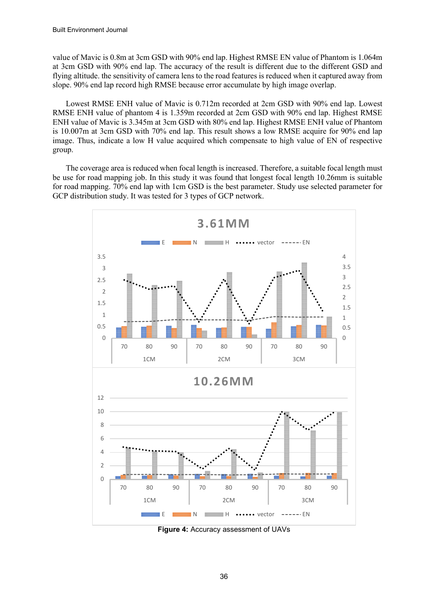value of Mavic is 0.8m at 3cm GSD with 90% end lap. Highest RMSE EN value of Phantom is 1.064m at 3cm GSD with 90% end lap. The accuracy of the result is different due to the different GSD and flying altitude. the sensitivity of camera lens to the road features is reduced when it captured away from slope. 90% end lap record high RMSE because error accumulate by high image overlap.

Lowest RMSE ENH value of Mavic is 0.712m recorded at 2cm GSD with 90% end lap. Lowest RMSE ENH value of phantom 4 is 1.359m recorded at 2cm GSD with 90% end lap. Highest RMSE ENH value of Mavic is 3.345m at 3cm GSD with 80% end lap. Highest RMSE ENH value of Phantom is 10.007m at 3cm GSD with 70% end lap. This result shows a low RMSE acquire for 90% end lap image. Thus, indicate a low H value acquired which compensate to high value of EN of respective group.

The coverage area is reduced when focal length is increased. Therefore, a suitable focal length must be use for road mapping job. In this study it was found that longest focal length 10.26mm is suitable for road mapping. 70% end lap with 1cm GSD is the best parameter. Study use selected parameter for GCP distribution study. It was tested for 3 types of GCP network.



**Figure 4:** Accuracy assessment of UAVs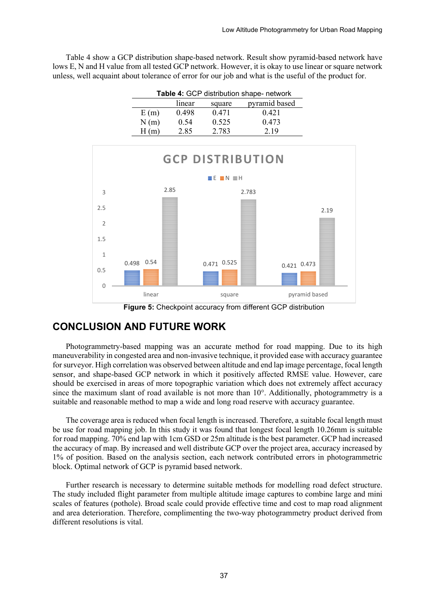Table 4 show a GCP distribution shape-based network. Result show pyramid-based network have lows E, N and H value from all tested GCP network. However, it is okay to use linear or square network unless, well acquaint about tolerance of error for our job and what is the useful of the product for.

| Table 4: GCP distribution shape- network |        |        |               |  |  |  |
|------------------------------------------|--------|--------|---------------|--|--|--|
|                                          | linear | square | pyramid based |  |  |  |
| E(m)                                     | 0.498  | 0.471  | 0.421         |  |  |  |
| N(m)                                     | 0.54   | 0.525  | 0.473         |  |  |  |
| H                                        | 2.85   | 2.783  | 2.19          |  |  |  |



**Figure 5:** Checkpoint accuracy from different GCP distribution

### **CONCLUSION AND FUTURE WORK**

Photogrammetry-based mapping was an accurate method for road mapping. Due to its high maneuverability in congested area and non-invasive technique, it provided ease with accuracy guarantee for surveyor. High correlation was observed between altitude and end lap image percentage, focal length sensor, and shape-based GCP network in which it positively affected RMSE value. However, care should be exercised in areas of more topographic variation which does not extremely affect accuracy since the maximum slant of road available is not more than 10°. Additionally, photogrammetry is a suitable and reasonable method to map a wide and long road reserve with accuracy guarantee.

The coverage area is reduced when focal length is increased. Therefore, a suitable focal length must be use for road mapping job. In this study it was found that longest focal length 10.26mm is suitable for road mapping. 70% end lap with 1cm GSD or 25m altitude is the best parameter. GCP had increased the accuracy of map. By increased and well distribute GCP over the project area, accuracy increased by 1% of position. Based on the analysis section, each network contributed errors in photogrammetric block. Optimal network of GCP is pyramid based network.

Further research is necessary to determine suitable methods for modelling road defect structure. The study included flight parameter from multiple altitude image captures to combine large and mini scales of features (pothole). Broad scale could provide effective time and cost to map road alignment and area deterioration. Therefore, complimenting the two-way photogrammetry product derived from different resolutions is vital.